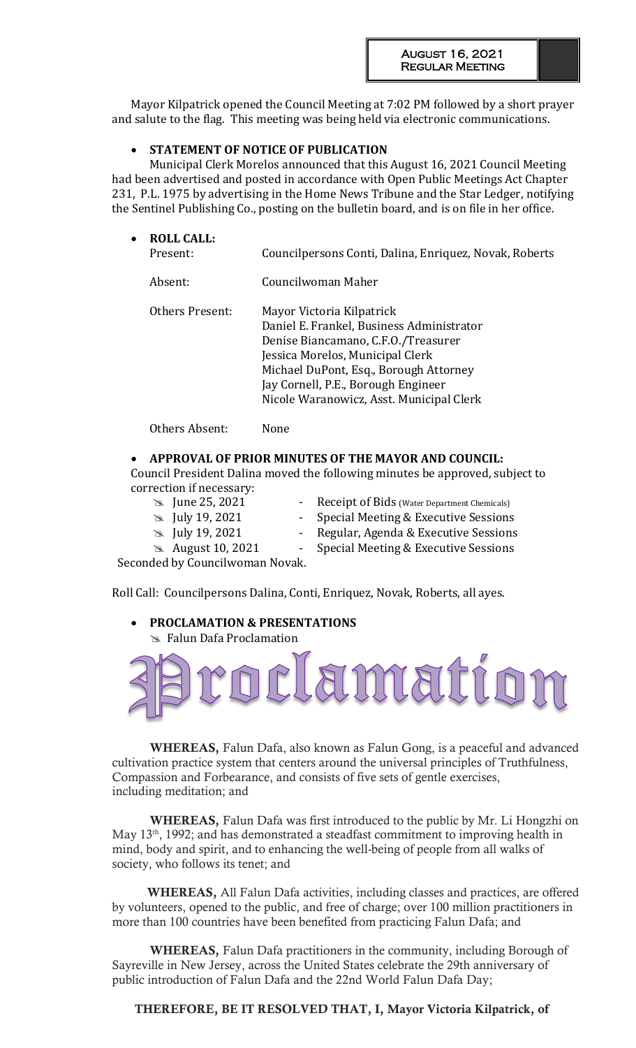Mayor Kilpatrick opened the Council Meeting at 7:02 PM followed by a short prayer and salute to the flag. This meeting was being held via electronic communications.

### **STATEMENT OF NOTICE OF PUBLICATION**

Municipal Clerk Morelos announced that this August 16, 2021 Council Meeting had been advertised and posted in accordance with Open Public Meetings Act Chapter 231, P.L. 1975 by advertising in the Home News Tribune and the Star Ledger, notifying the Sentinel Publishing Co., posting on the bulletin board, and is on file in her office.

| <b>ROLL CALL:</b><br>Present: | Councilpersons Conti, Dalina, Enriquez, Novak, Roberts                                                                                                                                                                                                                         |
|-------------------------------|--------------------------------------------------------------------------------------------------------------------------------------------------------------------------------------------------------------------------------------------------------------------------------|
|                               | Councilwoman Maher                                                                                                                                                                                                                                                             |
|                               | Mayor Victoria Kilpatrick<br>Daniel E. Frankel, Business Administrator<br>Denise Biancamano, C.F.O./Treasurer<br>Jessica Morelos, Municipal Clerk<br>Michael DuPont, Esq., Borough Attorney<br>Jay Cornell, P.E., Borough Engineer<br>Nicole Waranowicz, Asst. Municipal Clerk |
|                               | Absent:<br>Others Present:                                                                                                                                                                                                                                                     |

Others Absent: None

## **APPROVAL OF PRIOR MINUTES OF THE MAYOR AND COUNCIL:**

Council President Dalina moved the following minutes be approved, subject to correction if necessary:

- 
- 
- 
- 
- **124 June 25, 2021** Receipt of Bids (Water Department Chemicals)
- July 19, 2021 Special Meeting & Executive Sessions
- July 19, 2021 Regular, Agenda & Executive Sessions
- **August 10, 2021** Special Meeting & Executive Sessions

Seconded by Councilwoman Novak.

Roll Call: Councilpersons Dalina, Conti, Enriquez, Novak, Roberts, all ayes.

#### **PROCLAMATION & PRESENTATIONS**  Falun Dafa Proclamation



WHEREAS, Falun Dafa, also known as Falun Gong, is a peaceful and advanced cultivation practice system that centers around the universal principles of Truthfulness, Compassion and Forbearance, and consists of five sets of gentle exercises, including meditation; and

WHEREAS, Falun Dafa was first introduced to the public by Mr. Li Hongzhi on May  $13<sup>th</sup>$ , 1992; and has demonstrated a steadfast commitment to improving health in mind, body and spirit, and to enhancing the well-being of people from all walks of society, who follows its tenet; and

 WHEREAS, All Falun Dafa activities, including classes and practices, are offered by volunteers, opened to the public, and free of charge; over 100 million practitioners in more than 100 countries have been benefited from practicing Falun Dafa; and

WHEREAS, Falun Dafa practitioners in the community, including Borough of Sayreville in New Jersey, across the United States celebrate the 29th anniversary of public introduction of Falun Dafa and the 22nd World Falun Dafa Day;

THEREFORE, BE IT RESOLVED THAT, I, Mayor Victoria Kilpatrick, of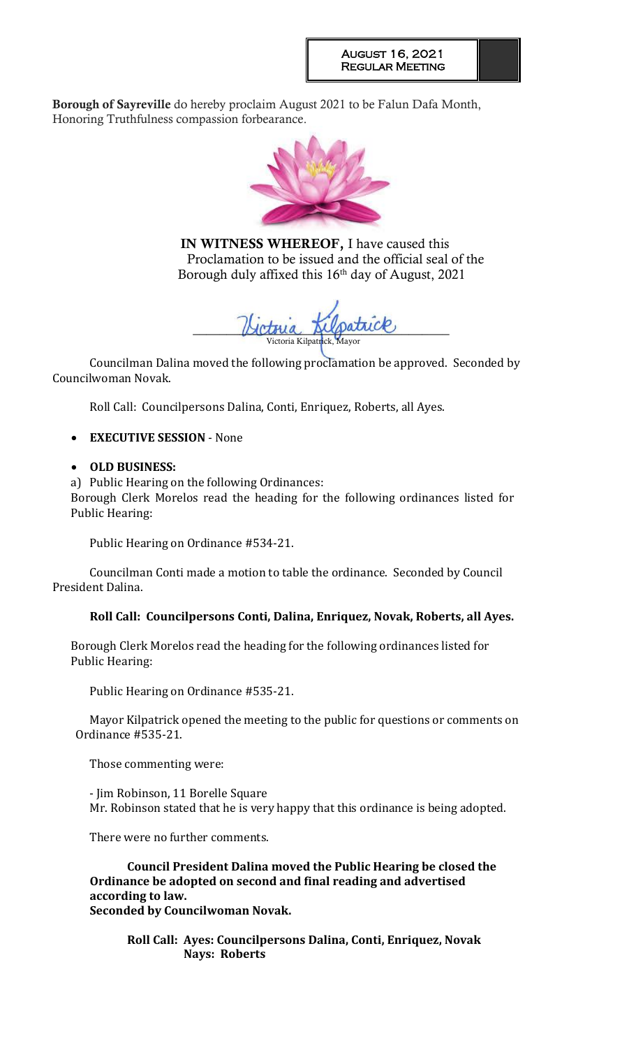Borough of Sayreville do hereby proclaim August 2021 to be Falun Dafa Month, Honoring Truthfulness compassion forbearance.



IN WITNESS WHEREOF, I have caused this Proclamation to be issued and the official seal of the Borough duly affixed this  $16<sup>th</sup>$  day of August, 2021

Hotoua Alpatrice Victoria Kilpatr

Councilman Dalina moved the following proclamation be approved. Seconded by Councilwoman Novak.

Roll Call: Councilpersons Dalina, Conti, Enriquez, Roberts, all Ayes.

## **EXECUTIVE SESSION** - None

## **OLD BUSINESS:**

a) Public Hearing on the following Ordinances:

Borough Clerk Morelos read the heading for the following ordinances listed for Public Hearing:

Public Hearing on Ordinance #534-21.

Councilman Conti made a motion to table the ordinance. Seconded by Council President Dalina.

## **Roll Call: Councilpersons Conti, Dalina, Enriquez, Novak, Roberts, all Ayes.**

Borough Clerk Morelos read the heading for the following ordinances listed for Public Hearing:

Public Hearing on Ordinance #535-21.

Mayor Kilpatrick opened the meeting to the public for questions or comments on Ordinance #535-21.

Those commenting were:

- Jim Robinson, 11 Borelle Square Mr. Robinson stated that he is very happy that this ordinance is being adopted.

There were no further comments.

**Council President Dalina moved the Public Hearing be closed the Ordinance be adopted on second and final reading and advertised according to law. Seconded by Councilwoman Novak.** 

**Roll Call: Ayes: Councilpersons Dalina, Conti, Enriquez, Novak Nays: Roberts**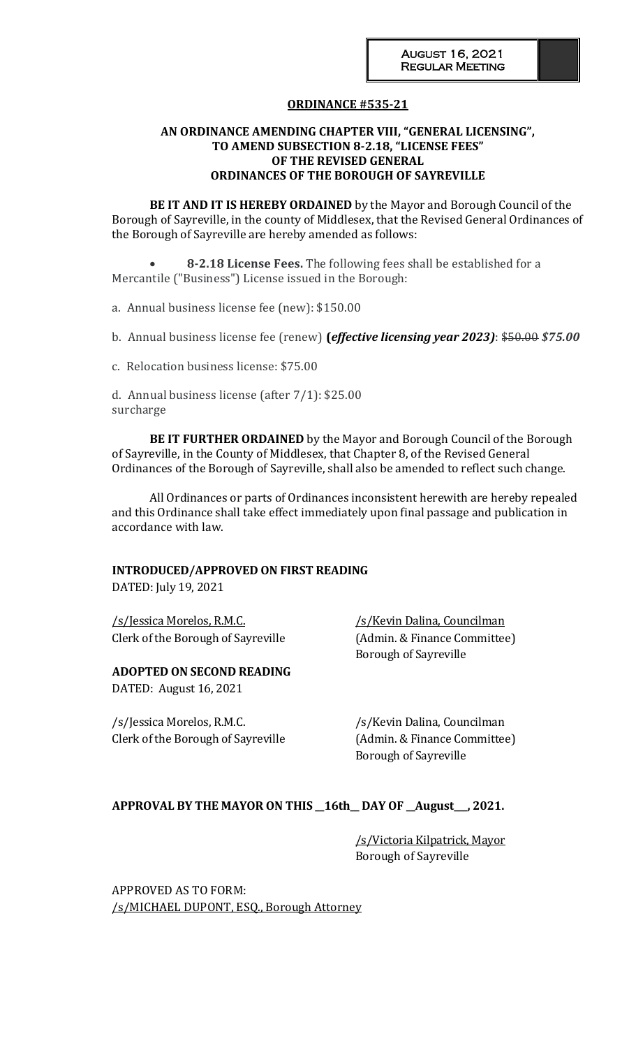## **ORDINANCE #535-21**

### **AN ORDINANCE AMENDING CHAPTER VIII, "GENERAL LICENSING", TO AMEND SUBSECTION 8-2.18, "LICENSE FEES" OF THE REVISED GENERAL ORDINANCES OF THE BOROUGH OF SAYREVILLE**

**BE IT AND IT IS HEREBY ORDAINED** by the Mayor and Borough Council of the Borough of Sayreville, in the county of Middlesex, that the Revised General Ordinances of the Borough of Sayreville are hereby amended as follows:

 **8-2.18 License Fees.** The following fees shall be established for a Mercantile ("Business") License issued in the Borough:

a. Annual business license fee (new): \$150.00

b. Annual business license fee (renew) **(***effective licensing year 2023)*: \$50.00 *\$75.00*

c. Relocation business license: \$75.00

d. Annual business license (after 7/1): \$25.00 surcharge

**BE IT FURTHER ORDAINED** by the Mayor and Borough Council of the Borough of Sayreville, in the County of Middlesex, that Chapter 8, of the Revised General Ordinances of the Borough of Sayreville, shall also be amended to reflect such change.

All Ordinances or parts of Ordinances inconsistent herewith are hereby repealed and this Ordinance shall take effect immediately upon final passage and publication in accordance with law.

### **INTRODUCED/APPROVED ON FIRST READING**

DATED: July 19, 2021

/s/Jessica Morelos, R.M.C. /s/Kevin Dalina, Councilman Clerk of the Borough of Sayreville (Admin. & Finance Committee)

### **ADOPTED ON SECOND READING**

DATED: August 16, 2021

/s/Jessica Morelos, R.M.C. // /s/Kevin Dalina, Councilman Clerk of the Borough of Sayreville (Admin. & Finance Committee)

Borough of Sayreville

Borough of Sayreville

## **APPROVAL BY THE MAYOR ON THIS \_\_16th\_\_ DAY OF \_\_August\_\_\_, 2021.**

/s/Victoria Kilpatrick, Mayor Borough of Sayreville

APPROVED AS TO FORM: /s/MICHAEL DUPONT, ESQ., Borough Attorney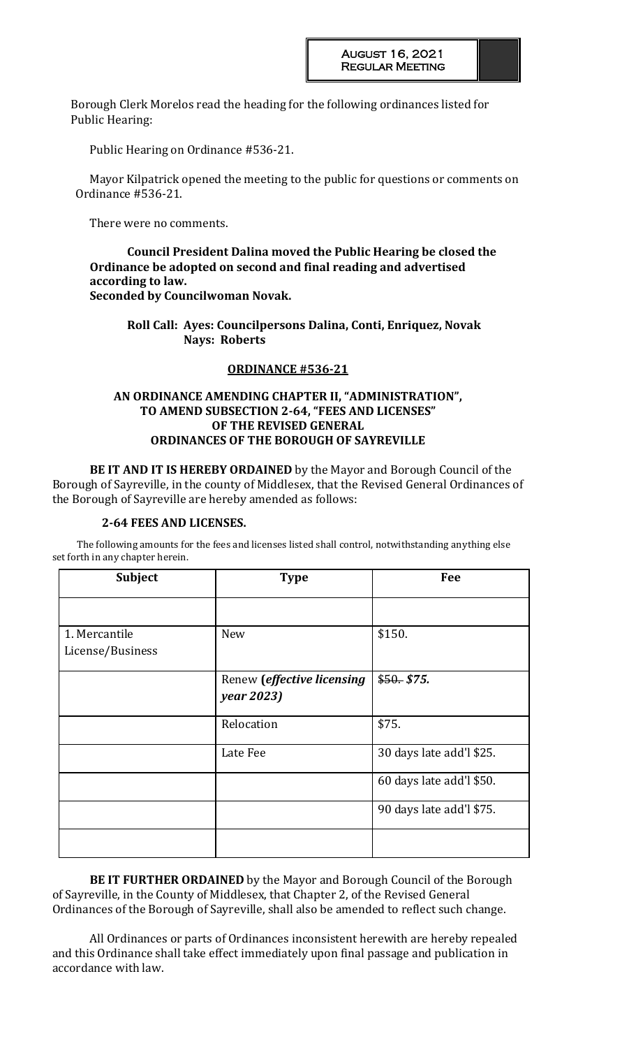Borough Clerk Morelos read the heading for the following ordinances listed for Public Hearing:

Public Hearing on Ordinance #536-21.

Mayor Kilpatrick opened the meeting to the public for questions or comments on Ordinance #536-21.

There were no comments.

**Council President Dalina moved the Public Hearing be closed the Ordinance be adopted on second and final reading and advertised according to law. Seconded by Councilwoman Novak.** 

**Roll Call: Ayes: Councilpersons Dalina, Conti, Enriquez, Novak Nays: Roberts** 

## **ORDINANCE #536-21**

## **AN ORDINANCE AMENDING CHAPTER II, "ADMINISTRATION", TO AMEND SUBSECTION 2-64, "FEES AND LICENSES" OF THE REVISED GENERAL ORDINANCES OF THE BOROUGH OF SAYREVILLE**

**BE IT AND IT IS HEREBY ORDAINED** by the Mayor and Borough Council of the Borough of Sayreville, in the county of Middlesex, that the Revised General Ordinances of the Borough of Sayreville are hereby amended as follows:

#### **2-64 FEES AND LICENSES.**

The following amounts for the fees and licenses listed shall control, notwithstanding anything else set forth in any chapter herein.

| <b>Subject</b>                    | <b>Type</b>                                             | Fee                      |
|-----------------------------------|---------------------------------------------------------|--------------------------|
|                                   |                                                         |                          |
| 1. Mercantile<br>License/Business | <b>New</b>                                              | \$150.                   |
|                                   | Renew ( <i>effective licensing</i><br><i>year</i> 2023) | \$50. \$75.              |
|                                   | Relocation                                              | \$75.                    |
|                                   | Late Fee                                                | 30 days late add'l \$25. |
|                                   |                                                         | 60 days late add'l \$50. |
|                                   |                                                         | 90 days late add'l \$75. |
|                                   |                                                         |                          |

**BE IT FURTHER ORDAINED** by the Mayor and Borough Council of the Borough of Sayreville, in the County of Middlesex, that Chapter 2, of the Revised General Ordinances of the Borough of Sayreville, shall also be amended to reflect such change.

All Ordinances or parts of Ordinances inconsistent herewith are hereby repealed and this Ordinance shall take effect immediately upon final passage and publication in accordance with law.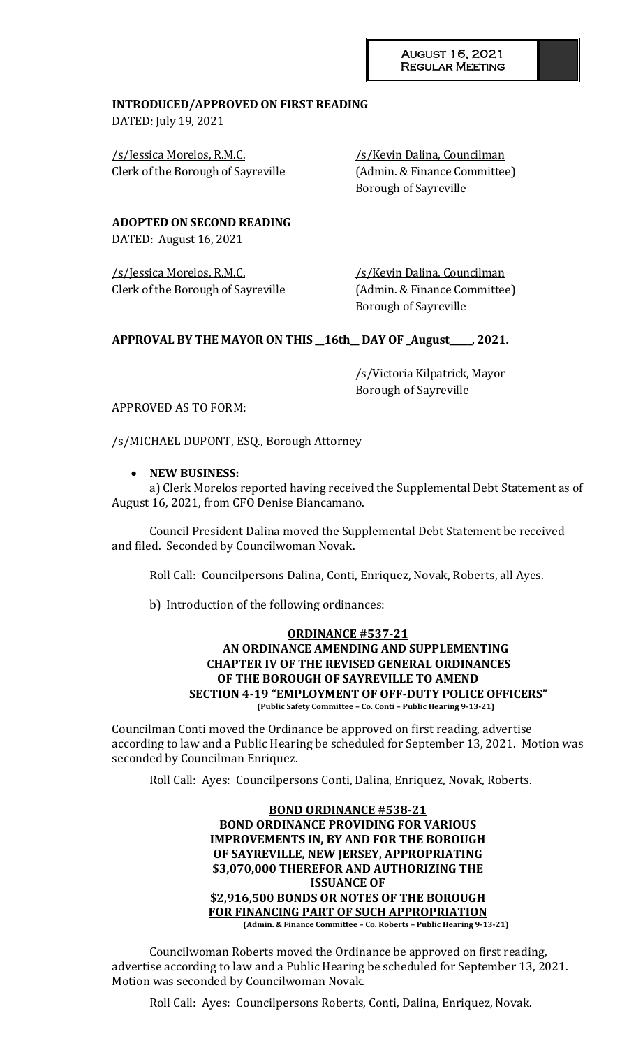## **INTRODUCED/APPROVED ON FIRST READING**

DATED: July 19, 2021

/s/Jessica Morelos, R.M.C. /s/Kevin Dalina, Councilman Clerk of the Borough of Sayreville (Admin. & Finance Committee)

Borough of Sayreville

**ADOPTED ON SECOND READING**

DATED: August 16, 2021

/s/Jessica Morelos, R.M.C. /s/Kevin Dalina, Councilman Clerk of the Borough of Sayreville (Admin. & Finance Committee)

Borough of Sayreville

## **APPROVAL BY THE MAYOR ON THIS \_\_16th\_\_ DAY OF \_August\_\_\_\_\_, 2021.**

/s/Victoria Kilpatrick, Mayor Borough of Sayreville

APPROVED AS TO FORM:

/s/MICHAEL DUPONT, ESQ., Borough Attorney

## **NEW BUSINESS:**

a) Clerk Morelos reported having received the Supplemental Debt Statement as of August 16, 2021, from CFO Denise Biancamano.

Council President Dalina moved the Supplemental Debt Statement be received and filed. Seconded by Councilwoman Novak.

Roll Call: Councilpersons Dalina, Conti, Enriquez, Novak, Roberts, all Ayes.

b) Introduction of the following ordinances:

#### **ORDINANCE #537-21 AN ORDINANCE AMENDING AND SUPPLEMENTING CHAPTER IV OF THE REVISED GENERAL ORDINANCES OF THE BOROUGH OF SAYREVILLE TO AMEND SECTION 4-19 "EMPLOYMENT OF OFF-DUTY POLICE OFFICERS" (Public Safety Committee – Co. Conti – Public Hearing 9-13-21)**

Councilman Conti moved the Ordinance be approved on first reading, advertise according to law and a Public Hearing be scheduled for September 13, 2021. Motion was seconded by Councilman Enriquez.

Roll Call: Ayes: Councilpersons Conti, Dalina, Enriquez, Novak, Roberts.

#### **BOND ORDINANCE #538-21 BOND ORDINANCE PROVIDING FOR VARIOUS IMPROVEMENTS IN, BY AND FOR THE BOROUGH OF SAYREVILLE, NEW JERSEY, APPROPRIATING \$3,070,000 THEREFOR AND AUTHORIZING THE ISSUANCE OF \$2,916,500 BONDS OR NOTES OF THE BOROUGH FOR FINANCING PART OF SUCH APPROPRIATION (Admin. & Finance Committee – Co. Roberts – Public Hearing 9-13-21)**

Councilwoman Roberts moved the Ordinance be approved on first reading, advertise according to law and a Public Hearing be scheduled for September 13, 2021. Motion was seconded by Councilwoman Novak.

Roll Call: Ayes: Councilpersons Roberts, Conti, Dalina, Enriquez, Novak.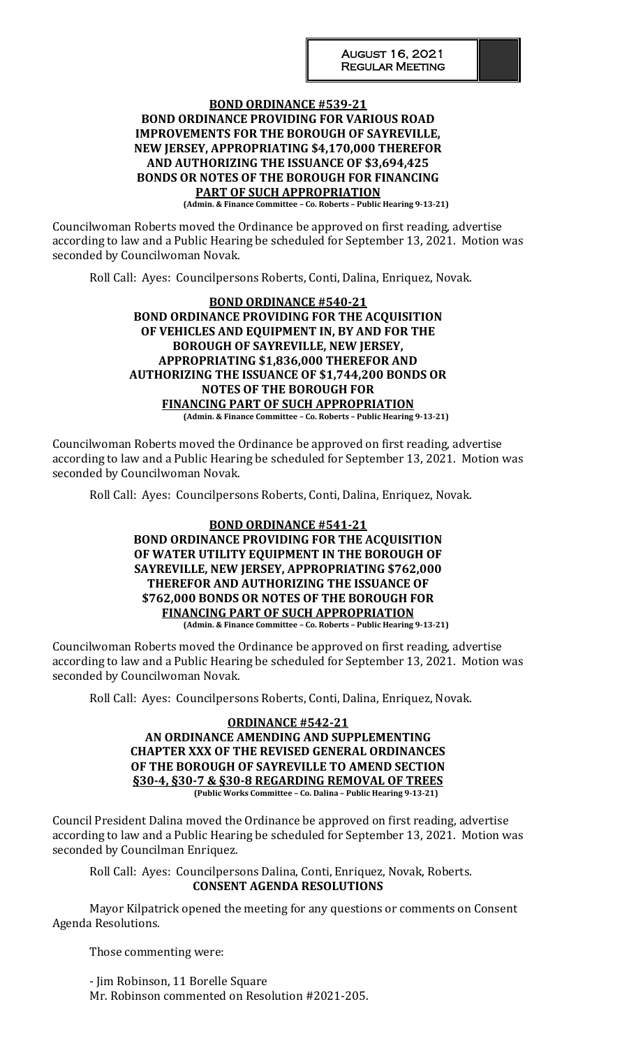### **BOND ORDINANCE #539-21 BOND ORDINANCE PROVIDING FOR VARIOUS ROAD IMPROVEMENTS FOR THE BOROUGH OF SAYREVILLE, NEW JERSEY, APPROPRIATING \$4,170,000 THEREFOR AND AUTHORIZING THE ISSUANCE OF \$3,694,425 BONDS OR NOTES OF THE BOROUGH FOR FINANCING PART OF SUCH APPROPRIATION (Admin. & Finance Committee – Co. Roberts – Public Hearing 9-13-21)**

Councilwoman Roberts moved the Ordinance be approved on first reading, advertise according to law and a Public Hearing be scheduled for September 13, 2021. Motion was seconded by Councilwoman Novak.

Roll Call: Ayes: Councilpersons Roberts, Conti, Dalina, Enriquez, Novak.

## **BOND ORDINANCE #540-21 BOND ORDINANCE PROVIDING FOR THE ACQUISITION OF VEHICLES AND EQUIPMENT IN, BY AND FOR THE BOROUGH OF SAYREVILLE, NEW JERSEY, APPROPRIATING \$1,836,000 THEREFOR AND AUTHORIZING THE ISSUANCE OF \$1,744,200 BONDS OR NOTES OF THE BOROUGH FOR FINANCING PART OF SUCH APPROPRIATION**

**(Admin. & Finance Committee – Co. Roberts – Public Hearing 9-13-21)**

Councilwoman Roberts moved the Ordinance be approved on first reading, advertise according to law and a Public Hearing be scheduled for September 13, 2021. Motion was seconded by Councilwoman Novak.

Roll Call: Ayes: Councilpersons Roberts, Conti, Dalina, Enriquez, Novak.

#### **BOND ORDINANCE #541-21 BOND ORDINANCE PROVIDING FOR THE ACQUISITION OF WATER UTILITY EQUIPMENT IN THE BOROUGH OF SAYREVILLE, NEW JERSEY, APPROPRIATING \$762,000 THEREFOR AND AUTHORIZING THE ISSUANCE OF \$762,000 BONDS OR NOTES OF THE BOROUGH FOR FINANCING PART OF SUCH APPROPRIATION (Admin. & Finance Committee – Co. Roberts – Public Hearing 9-13-21)**

Councilwoman Roberts moved the Ordinance be approved on first reading, advertise according to law and a Public Hearing be scheduled for September 13, 2021. Motion was seconded by Councilwoman Novak.

Roll Call: Ayes: Councilpersons Roberts, Conti, Dalina, Enriquez, Novak.

#### **ORDINANCE #542-21 AN ORDINANCE AMENDING AND SUPPLEMENTING CHAPTER XXX OF THE REVISED GENERAL ORDINANCES OF THE BOROUGH OF SAYREVILLE TO AMEND SECTION §30-4, §30-7 & §30-8 REGARDING REMOVAL OF TREES (Public Works Committee – Co. Dalina – Public Hearing 9-13-21)**

Council President Dalina moved the Ordinance be approved on first reading, advertise according to law and a Public Hearing be scheduled for September 13, 2021. Motion was seconded by Councilman Enriquez.

Roll Call: Ayes: Councilpersons Dalina, Conti, Enriquez, Novak, Roberts. **CONSENT AGENDA RESOLUTIONS**

Mayor Kilpatrick opened the meeting for any questions or comments on Consent Agenda Resolutions.

Those commenting were:

- Jim Robinson, 11 Borelle Square Mr. Robinson commented on Resolution #2021-205.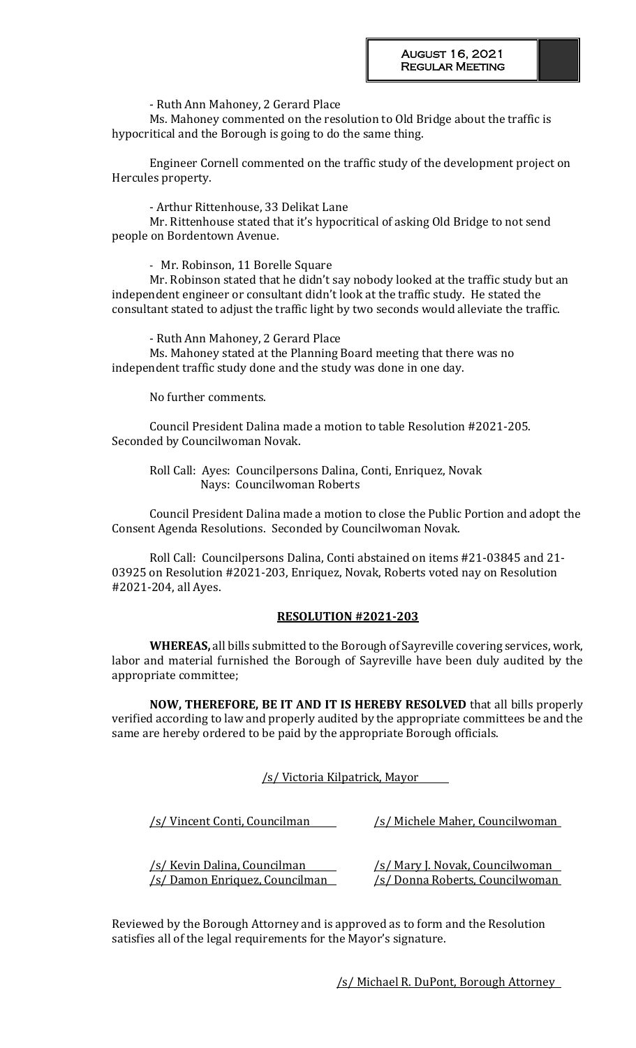- Ruth Ann Mahoney, 2 Gerard Place

Ms. Mahoney commented on the resolution to Old Bridge about the traffic is hypocritical and the Borough is going to do the same thing.

Engineer Cornell commented on the traffic study of the development project on Hercules property.

- Arthur Rittenhouse, 33 Delikat Lane

Mr. Rittenhouse stated that it's hypocritical of asking Old Bridge to not send people on Bordentown Avenue.

- Mr. Robinson, 11 Borelle Square

Mr. Robinson stated that he didn't say nobody looked at the traffic study but an independent engineer or consultant didn't look at the traffic study. He stated the consultant stated to adjust the traffic light by two seconds would alleviate the traffic.

- Ruth Ann Mahoney, 2 Gerard Place

Ms. Mahoney stated at the Planning Board meeting that there was no independent traffic study done and the study was done in one day.

No further comments.

Council President Dalina made a motion to table Resolution #2021-205. Seconded by Councilwoman Novak.

Roll Call: Ayes: Councilpersons Dalina, Conti, Enriquez, Novak Nays: Councilwoman Roberts

Council President Dalina made a motion to close the Public Portion and adopt the Consent Agenda Resolutions. Seconded by Councilwoman Novak.

Roll Call: Councilpersons Dalina, Conti abstained on items #21-03845 and 21- 03925 on Resolution #2021-203, Enriquez, Novak, Roberts voted nay on Resolution #2021-204, all Ayes.

#### **RESOLUTION #2021-203**

**WHEREAS,** all bills submitted to the Borough of Sayreville covering services, work, labor and material furnished the Borough of Sayreville have been duly audited by the appropriate committee;

**NOW, THEREFORE, BE IT AND IT IS HEREBY RESOLVED** that all bills properly verified according to law and properly audited by the appropriate committees be and the same are hereby ordered to be paid by the appropriate Borough officials.

#### /s/ Victoria Kilpatrick, Mayor

/s/ Vincent Conti, Councilman /s/ Michele Maher, Councilwoman /s/ Kevin Dalina, Councilman /s/ Mary J. Novak, Councilwoman /s/ Damon Enriquez, Councilman /s/ Donna Roberts, Councilwoman

Reviewed by the Borough Attorney and is approved as to form and the Resolution satisfies all of the legal requirements for the Mayor's signature.

/s/ Michael R. DuPont, Borough Attorney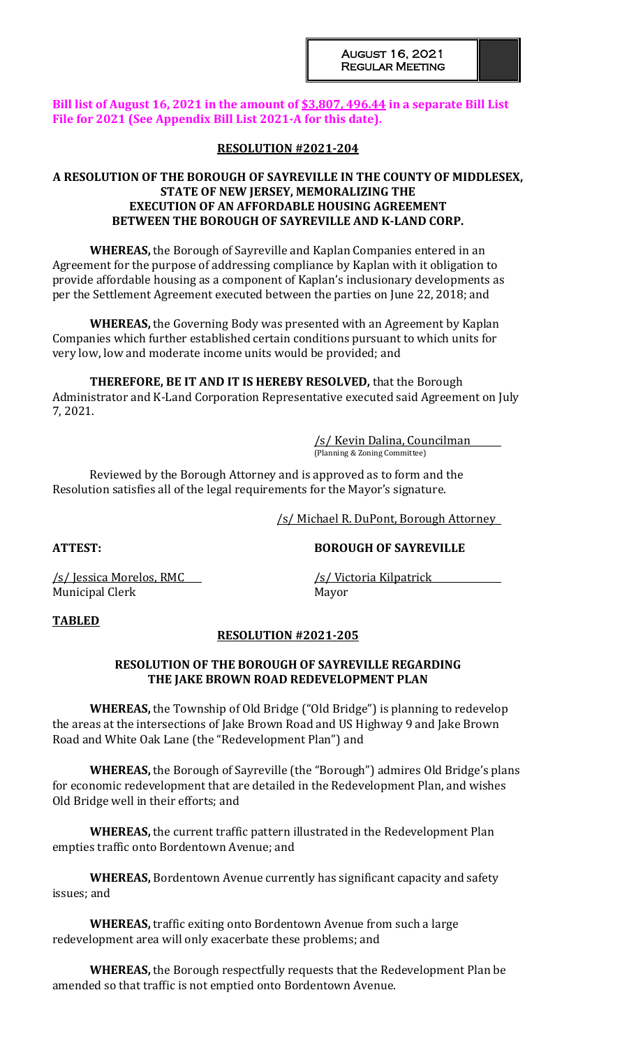## **Bill list of August 16, 2021 in the amount of \$3,807, 496.44 in a separate Bill List File for 2021 (See Appendix Bill List 2021-A for this date).**

### **RESOLUTION #2021-204**

## **A RESOLUTION OF THE BOROUGH OF SAYREVILLE IN THE COUNTY OF MIDDLESEX, STATE OF NEW JERSEY, MEMORALIZING THE EXECUTION OF AN AFFORDABLE HOUSING AGREEMENT BETWEEN THE BOROUGH OF SAYREVILLE AND K-LAND CORP.**

**WHEREAS,** the Borough of Sayreville and Kaplan Companies entered in an Agreement for the purpose of addressing compliance by Kaplan with it obligation to provide affordable housing as a component of Kaplan's inclusionary developments as per the Settlement Agreement executed between the parties on June 22, 2018; and

**WHEREAS,** the Governing Body was presented with an Agreement by Kaplan Companies which further established certain conditions pursuant to which units for very low, low and moderate income units would be provided; and

**THEREFORE, BE IT AND IT IS HEREBY RESOLVED,** that the Borough Administrator and K-Land Corporation Representative executed said Agreement on July 7, 2021.

> /s/ Kevin Dalina, Councilman (Planning & Zoning Committee)

Reviewed by the Borough Attorney and is approved as to form and the Resolution satisfies all of the legal requirements for the Mayor's signature.

/s/ Michael R. DuPont, Borough Attorney

**ATTEST: BOROUGH OF SAYREVILLE**

Municipal Clerk Mayor

/s/ Jessica Morelos, RMC /s/ Victoria Kilpatrick

## **TABLED**

## **RESOLUTION #2021-205**

## **RESOLUTION OF THE BOROUGH OF SAYREVILLE REGARDING THE JAKE BROWN ROAD REDEVELOPMENT PLAN**

**WHEREAS,** the Township of Old Bridge ("Old Bridge") is planning to redevelop the areas at the intersections of Jake Brown Road and US Highway 9 and Jake Brown Road and White Oak Lane (the "Redevelopment Plan") and

**WHEREAS,** the Borough of Sayreville (the "Borough") admires Old Bridge's plans for economic redevelopment that are detailed in the Redevelopment Plan, and wishes Old Bridge well in their efforts; and

**WHEREAS,** the current traffic pattern illustrated in the Redevelopment Plan empties traffic onto Bordentown Avenue; and

**WHEREAS,** Bordentown Avenue currently has significant capacity and safety issues; and

**WHEREAS,** traffic exiting onto Bordentown Avenue from such a large redevelopment area will only exacerbate these problems; and

**WHEREAS,** the Borough respectfully requests that the Redevelopment Plan be amended so that traffic is not emptied onto Bordentown Avenue.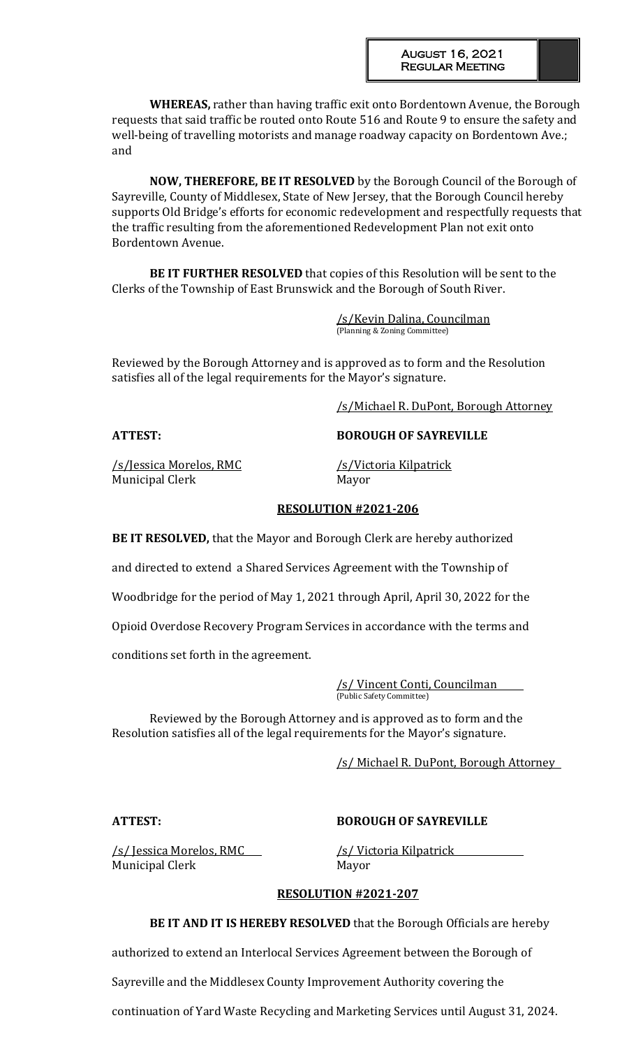**WHEREAS,** rather than having traffic exit onto Bordentown Avenue, the Borough requests that said traffic be routed onto Route 516 and Route 9 to ensure the safety and well-being of travelling motorists and manage roadway capacity on Bordentown Ave.; and

**NOW, THEREFORE, BE IT RESOLVED** by the Borough Council of the Borough of Sayreville, County of Middlesex, State of New Jersey, that the Borough Council hereby supports Old Bridge's efforts for economic redevelopment and respectfully requests that the traffic resulting from the aforementioned Redevelopment Plan not exit onto Bordentown Avenue.

**BE IT FURTHER RESOLVED** that copies of this Resolution will be sent to the Clerks of the Township of East Brunswick and the Borough of South River.

> /s/Kevin Dalina, Councilman (Planning & Zoning Committee)

Reviewed by the Borough Attorney and is approved as to form and the Resolution satisfies all of the legal requirements for the Mayor's signature.

/s/Michael R. DuPont, Borough Attorney

**ATTEST: BOROUGH OF SAYREVILLE**

/s/Jessica Morelos, RMC /s/Victoria Kilpatrick Municipal Clerk Mayor

## **RESOLUTION #2021-206**

**BE IT RESOLVED,** that the Mayor and Borough Clerk are hereby authorized

and directed to extend a Shared Services Agreement with the Township of

Woodbridge for the period of May 1, 2021 through April, April 30, 2022 for the

Opioid Overdose Recovery Program Services in accordance with the terms and

conditions set forth in the agreement.

/s/ Vincent Conti, Councilman (Public Safety Committee)

Reviewed by the Borough Attorney and is approved as to form and the Resolution satisfies all of the legal requirements for the Mayor's signature.

/s/ Michael R. DuPont, Borough Attorney

## **ATTEST: BOROUGH OF SAYREVILLE**

/s/ Jessica Morelos, RMC /s/ Victoria Kilpatrick Municipal Clerk Mayor

## **RESOLUTION #2021-207**

**BE IT AND IT IS HEREBY RESOLVED** that the Borough Officials are hereby

authorized to extend an Interlocal Services Agreement between the Borough of

Sayreville and the Middlesex County Improvement Authority covering the

continuation of Yard Waste Recycling and Marketing Services until August 31, 2024.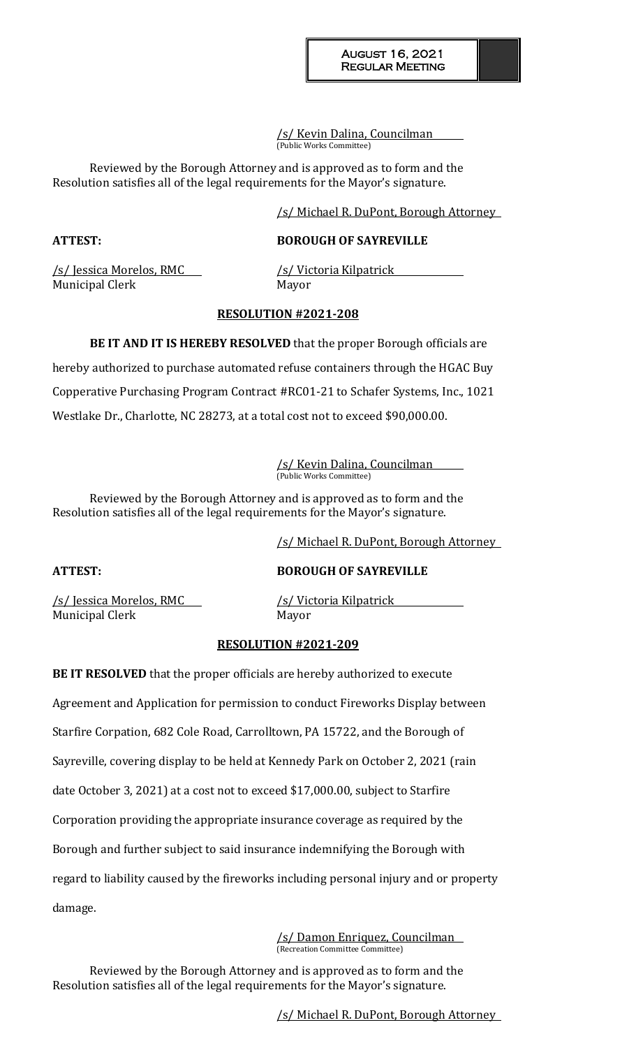/s/ Kevin Dalina, Councilman (Public Works Committee)

Reviewed by the Borough Attorney and is approved as to form and the Resolution satisfies all of the legal requirements for the Mayor's signature.

/s/ Michael R. DuPont, Borough Attorney

## **ATTEST: BOROUGH OF SAYREVILLE**

/s/ Jessica Morelos, RMC /s/ Victoria Kilpatrick Municipal Clerk Mayor

## **RESOLUTION #2021-208**

**BE IT AND IT IS HEREBY RESOLVED** that the proper Borough officials are hereby authorized to purchase automated refuse containers through the HGAC Buy Copperative Purchasing Program Contract #RC01-21 to Schafer Systems, Inc., 1021 Westlake Dr., Charlotte, NC 28273, at a total cost not to exceed \$90,000.00.

> /s/ Kevin Dalina, Councilman (Public Works Committee)

Reviewed by the Borough Attorney and is approved as to form and the Resolution satisfies all of the legal requirements for the Mayor's signature.

/s/ Michael R. DuPont, Borough Attorney

**ATTEST: BOROUGH OF SAYREVILLE**

/s/ Jessica Morelos, RMC /s/ Victoria Kilpatrick Municipal Clerk Mayor

## **RESOLUTION #2021-209**

**BE IT RESOLVED** that the proper officials are hereby authorized to execute Agreement and Application for permission to conduct Fireworks Display between Starfire Corpation, 682 Cole Road, Carrolltown, PA 15722, and the Borough of Sayreville, covering display to be held at Kennedy Park on October 2, 2021 (rain date October 3, 2021) at a cost not to exceed \$17,000.00, subject to Starfire Corporation providing the appropriate insurance coverage as required by the Borough and further subject to said insurance indemnifying the Borough with regard to liability caused by the fireworks including personal injury and or property damage.

> /s/ Damon Enriquez, Councilman (Recreation Committee Committee)

Reviewed by the Borough Attorney and is approved as to form and the Resolution satisfies all of the legal requirements for the Mayor's signature.

/s/ Michael R. DuPont, Borough Attorney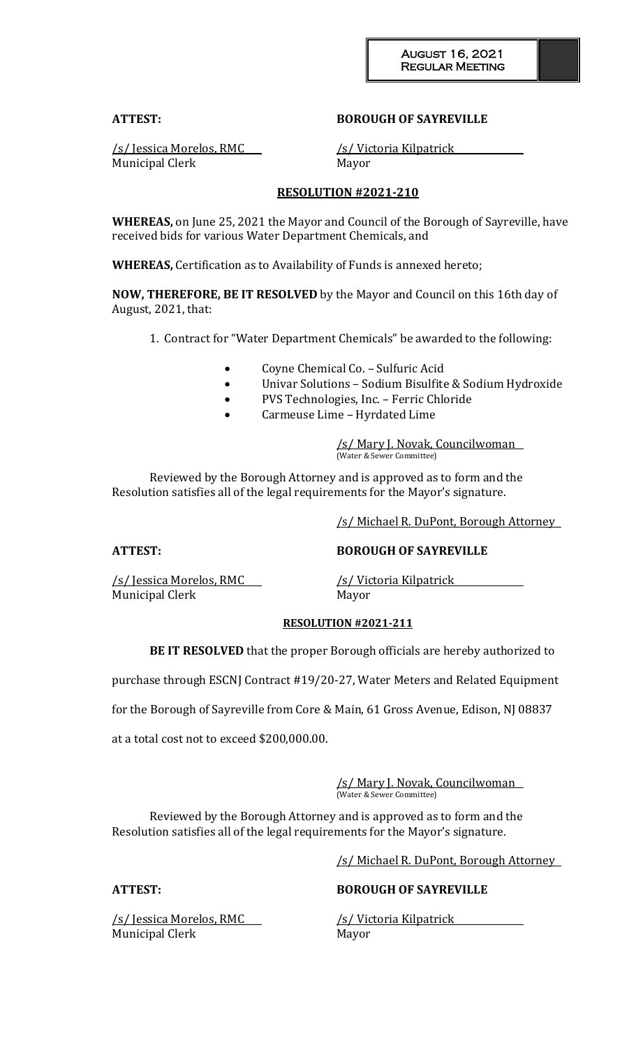### **ATTEST: BOROUGH OF SAYREVILLE**

Municipal Clerk Mayor

/s/ Jessica Morelos, RMC /s/ Victoria Kilpatrick

### **RESOLUTION #2021-210**

**WHEREAS,** on June 25, 2021 the Mayor and Council of the Borough of Sayreville, have received bids for various Water Department Chemicals, and

**WHEREAS,** Certification as to Availability of Funds is annexed hereto;

**NOW, THEREFORE, BE IT RESOLVED** by the Mayor and Council on this 16th day of August, 2021, that:

1. Contract for "Water Department Chemicals" be awarded to the following:

- Coyne Chemical Co. Sulfuric Acid
- Univar Solutions Sodium Bisulfite & Sodium Hydroxide
- PVS Technologies, Inc. Ferric Chloride
- Carmeuse Lime Hyrdated Lime

/s/ Mary J. Novak, Councilwoman (Water & Sewer Committee)

Reviewed by the Borough Attorney and is approved as to form and the Resolution satisfies all of the legal requirements for the Mayor's signature.

/s/ Michael R. DuPont, Borough Attorney

**ATTEST: BOROUGH OF SAYREVILLE**

/s/ Jessica Morelos, RMC /s/ Victoria Kilpatrick Municipal Clerk Mayor

#### **RESOLUTION #2021-211**

**BE IT RESOLVED** that the proper Borough officials are hereby authorized to

purchase through ESCNJ Contract #19/20-27, Water Meters and Related Equipment

for the Borough of Sayreville from Core & Main, 61 Gross Avenue, Edison, NJ 08837

at a total cost not to exceed \$200,000.00.

/s/ Mary J. Novak, Councilwoman (Water & Sewer Committee)

Reviewed by the Borough Attorney and is approved as to form and the Resolution satisfies all of the legal requirements for the Mayor's signature.

/s/ Michael R. DuPont, Borough Attorney

/s/ Jessica Morelos, RMC /s/ Victoria Kilpatrick Municipal Clerk Mayor

### **ATTEST: BOROUGH OF SAYREVILLE**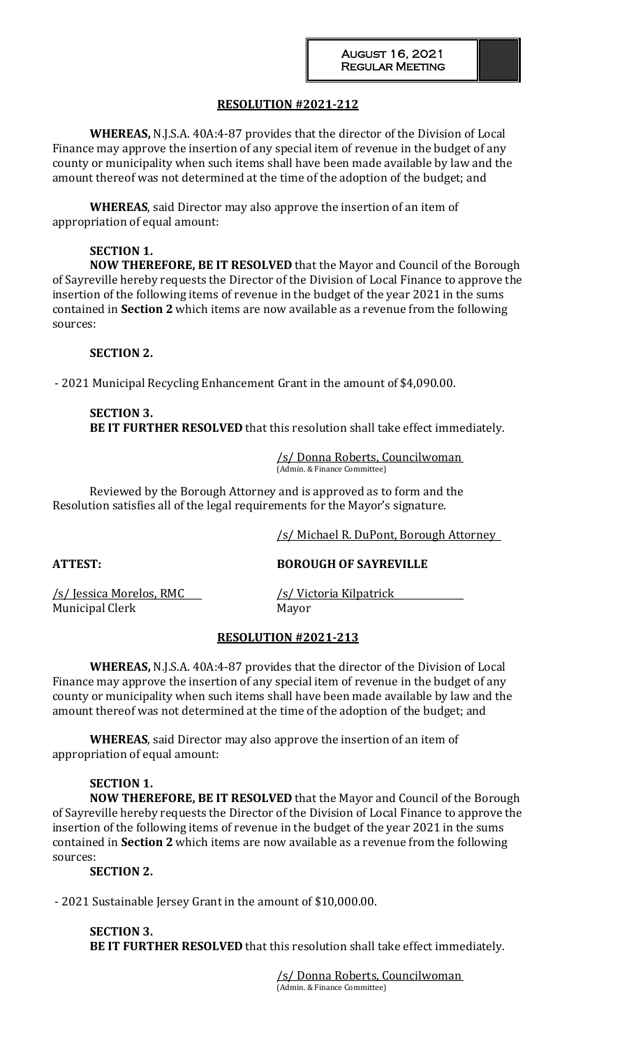## **RESOLUTION #2021-212**

**WHEREAS,** N.J.S.A. 40A:4-87 provides that the director of the Division of Local Finance may approve the insertion of any special item of revenue in the budget of any county or municipality when such items shall have been made available by law and the amount thereof was not determined at the time of the adoption of the budget; and

**WHEREAS**, said Director may also approve the insertion of an item of appropriation of equal amount:

### **SECTION 1.**

**NOW THEREFORE, BE IT RESOLVED** that the Mayor and Council of the Borough of Sayreville hereby requests the Director of the Division of Local Finance to approve the insertion of the following items of revenue in the budget of the year 2021 in the sums contained in **Section 2** which items are now available as a revenue from the following sources:

#### **SECTION 2.**

- 2021 Municipal Recycling Enhancement Grant in the amount of \$4,090.00.

## **SECTION 3. BE IT FURTHER RESOLVED** that this resolution shall take effect immediately.

/s/ Donna Roberts, Councilwoman (Admin. & Finance Committee)

Reviewed by the Borough Attorney and is approved as to form and the Resolution satisfies all of the legal requirements for the Mayor's signature.

/s/ Michael R. DuPont, Borough Attorney

## **ATTEST: BOROUGH OF SAYREVILLE**

/s/ Jessica Morelos, RMC /s/ Victoria Kilpatrick Municipal Clerk Mayor

#### **RESOLUTION #2021-213**

**WHEREAS,** N.J.S.A. 40A:4-87 provides that the director of the Division of Local Finance may approve the insertion of any special item of revenue in the budget of any county or municipality when such items shall have been made available by law and the amount thereof was not determined at the time of the adoption of the budget; and

**WHEREAS**, said Director may also approve the insertion of an item of appropriation of equal amount:

### **SECTION 1.**

**NOW THEREFORE, BE IT RESOLVED** that the Mayor and Council of the Borough of Sayreville hereby requests the Director of the Division of Local Finance to approve the insertion of the following items of revenue in the budget of the year 2021 in the sums contained in **Section 2** which items are now available as a revenue from the following sources:

## **SECTION 2.**

- 2021 Sustainable Jersey Grant in the amount of \$10,000.00.

**SECTION 3. BE IT FURTHER RESOLVED** that this resolution shall take effect immediately.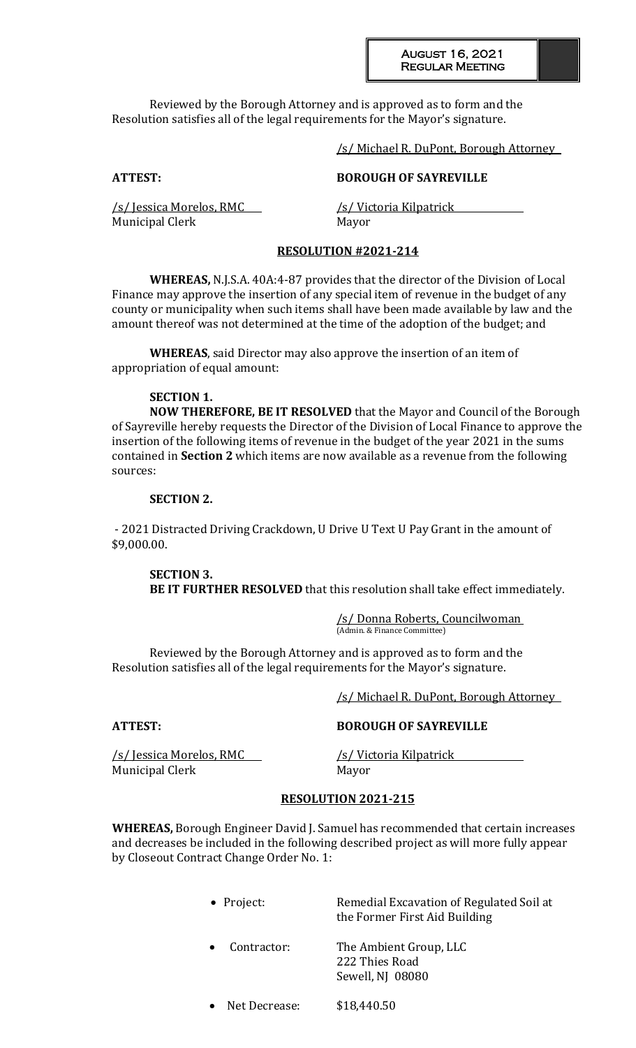#### August 16, 2021 Regular Meeting

Reviewed by the Borough Attorney and is approved as to form and the Resolution satisfies all of the legal requirements for the Mayor's signature.

/s/ Michael R. DuPont, Borough Attorney

## **ATTEST: BOROUGH OF SAYREVILLE**

/s/ Jessica Morelos, RMC /s/ Victoria Kilpatrick Municipal Clerk Mayor

## **RESOLUTION #2021-214**

**WHEREAS,** N.J.S.A. 40A:4-87 provides that the director of the Division of Local Finance may approve the insertion of any special item of revenue in the budget of any county or municipality when such items shall have been made available by law and the amount thereof was not determined at the time of the adoption of the budget; and

**WHEREAS**, said Director may also approve the insertion of an item of appropriation of equal amount:

## **SECTION 1.**

**NOW THEREFORE, BE IT RESOLVED** that the Mayor and Council of the Borough of Sayreville hereby requests the Director of the Division of Local Finance to approve the insertion of the following items of revenue in the budget of the year 2021 in the sums contained in **Section 2** which items are now available as a revenue from the following sources:

#### **SECTION 2.**

- 2021 Distracted Driving Crackdown, U Drive U Text U Pay Grant in the amount of \$9,000.00.

**SECTION 3. BE IT FURTHER RESOLVED** that this resolution shall take effect immediately.

> /s/ Donna Roberts, Councilwoman (Admin. & Finance Committee)

Reviewed by the Borough Attorney and is approved as to form and the Resolution satisfies all of the legal requirements for the Mayor's signature.

/s/ Michael R. DuPont, Borough Attorney

/s/ Jessica Morelos, RMC /s/ Victoria Kilpatrick Municipal Clerk Mayor

**ATTEST: BOROUGH OF SAYREVILLE**

### **RESOLUTION 2021-215**

**WHEREAS,** Borough Engineer David J. Samuel has recommended that certain increases and decreases be included in the following described project as will more fully appear by Closeout Contract Change Order No. 1:

> • Project: Remedial Excavation of Regulated Soil at the Former First Aid Building Contractor: The Ambient Group, LLC 222 Thies Road Sewell, NJ 08080 Net Decrease: \$18,440.50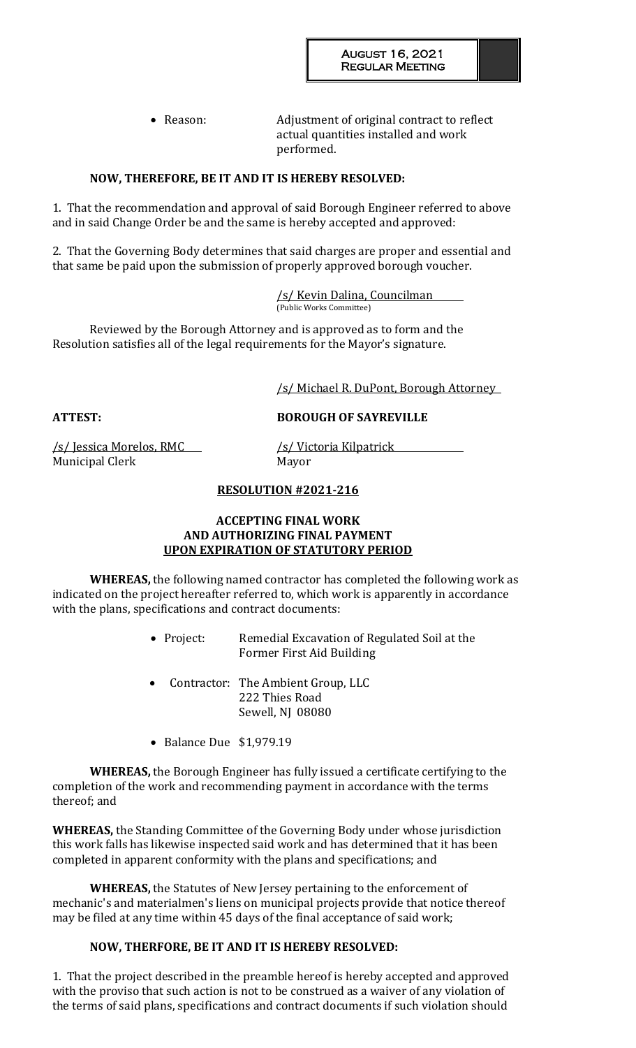• Reason: Adjustment of original contract to reflect actual quantities installed and work performed.

## **NOW, THEREFORE, BE IT AND IT IS HEREBY RESOLVED:**

1. That the recommendation and approval of said Borough Engineer referred to above and in said Change Order be and the same is hereby accepted and approved:

2. That the Governing Body determines that said charges are proper and essential and that same be paid upon the submission of properly approved borough voucher.

> /s/ Kevin Dalina, Councilman (Public Works Committee)

Reviewed by the Borough Attorney and is approved as to form and the Resolution satisfies all of the legal requirements for the Mayor's signature.

/s/ Michael R. DuPont, Borough Attorney

**ATTEST: BOROUGH OF SAYREVILLE**

/s/ Jessica Morelos, RMC /s/ Victoria Kilpatrick Municipal Clerk Mayor

## **RESOLUTION #2021-216**

### **ACCEPTING FINAL WORK AND AUTHORIZING FINAL PAYMENT UPON EXPIRATION OF STATUTORY PERIOD**

**WHEREAS,** the following named contractor has completed the following work as indicated on the project hereafter referred to, which work is apparently in accordance with the plans, specifications and contract documents:

- Project: Remedial Excavation of Regulated Soil at the Former First Aid Building
- Contractor: The Ambient Group, LLC 222 Thies Road Sewell, NJ 08080
- Balance Due \$1,979.19

**WHEREAS,** the Borough Engineer has fully issued a certificate certifying to the completion of the work and recommending payment in accordance with the terms thereof; and

**WHEREAS,** the Standing Committee of the Governing Body under whose jurisdiction this work falls has likewise inspected said work and has determined that it has been completed in apparent conformity with the plans and specifications; and

**WHEREAS,** the Statutes of New Jersey pertaining to the enforcement of mechanic's and materialmen's liens on municipal projects provide that notice thereof may be filed at any time within 45 days of the final acceptance of said work;

## **NOW, THERFORE, BE IT AND IT IS HEREBY RESOLVED:**

1. That the project described in the preamble hereof is hereby accepted and approved with the proviso that such action is not to be construed as a waiver of any violation of the terms of said plans, specifications and contract documents if such violation should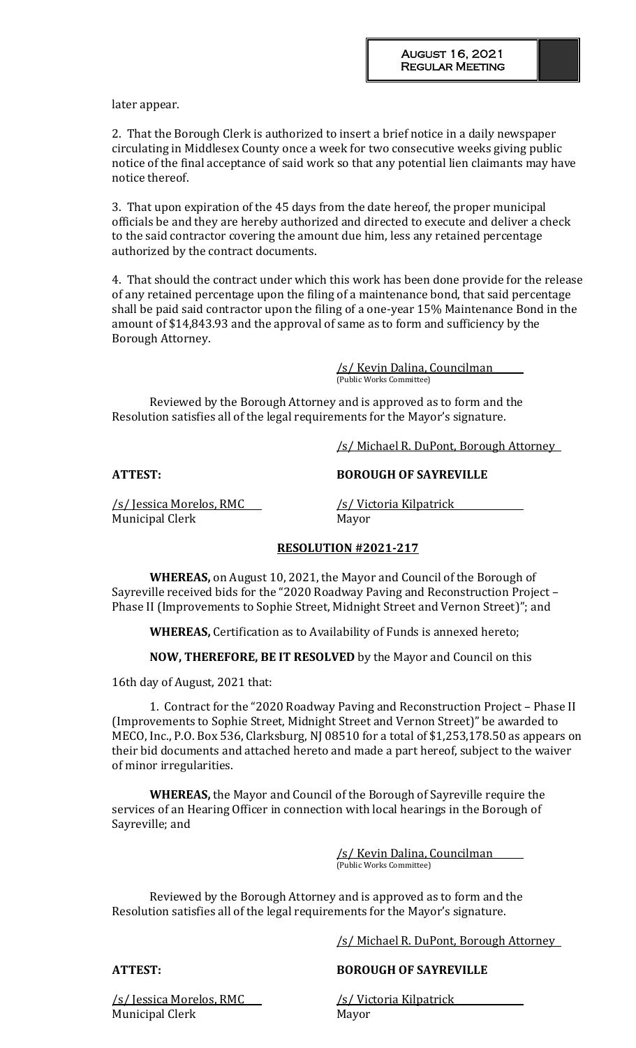later appear.

2. That the Borough Clerk is authorized to insert a brief notice in a daily newspaper circulating in Middlesex County once a week for two consecutive weeks giving public notice of the final acceptance of said work so that any potential lien claimants may have notice thereof.

3. That upon expiration of the 45 days from the date hereof, the proper municipal officials be and they are hereby authorized and directed to execute and deliver a check to the said contractor covering the amount due him, less any retained percentage authorized by the contract documents.

4. That should the contract under which this work has been done provide for the release of any retained percentage upon the filing of a maintenance bond, that said percentage shall be paid said contractor upon the filing of a one-year 15% Maintenance Bond in the amount of \$14,843.93 and the approval of same as to form and sufficiency by the Borough Attorney.

> /s/ Kevin Dalina, Councilman (Public Works Committee)

Reviewed by the Borough Attorney and is approved as to form and the Resolution satisfies all of the legal requirements for the Mayor's signature.

/s/ Michael R. DuPont, Borough Attorney

**ATTEST: BOROUGH OF SAYREVILLE**

/s/ Jessica Morelos, RMC /s/ Victoria Kilpatrick Municipal Clerk Mayor

## **RESOLUTION #2021-217**

**WHEREAS,** on August 10, 2021, the Mayor and Council of the Borough of Sayreville received bids for the "2020 Roadway Paving and Reconstruction Project – Phase II (Improvements to Sophie Street, Midnight Street and Vernon Street)"; and

**WHEREAS,** Certification as to Availability of Funds is annexed hereto;

**NOW, THEREFORE, BE IT RESOLVED** by the Mayor and Council on this

16th day of August, 2021 that:

1. Contract for the "2020 Roadway Paving and Reconstruction Project – Phase II (Improvements to Sophie Street, Midnight Street and Vernon Street)" be awarded to MECO, Inc., P.O. Box 536, Clarksburg, NJ 08510 for a total of \$1,253,178.50 as appears on their bid documents and attached hereto and made a part hereof, subject to the waiver of minor irregularities.

**WHEREAS,** the Mayor and Council of the Borough of Sayreville require the services of an Hearing Officer in connection with local hearings in the Borough of Sayreville; and

> /s/ Kevin Dalina, Councilman (Public Works Committee)

Reviewed by the Borough Attorney and is approved as to form and the Resolution satisfies all of the legal requirements for the Mayor's signature.

/s/ Michael R. DuPont, Borough Attorney

### **ATTEST: BOROUGH OF SAYREVILLE**

/s/ Jessica Morelos, RMC /s/ Victoria Kilpatrick Municipal Clerk Mayor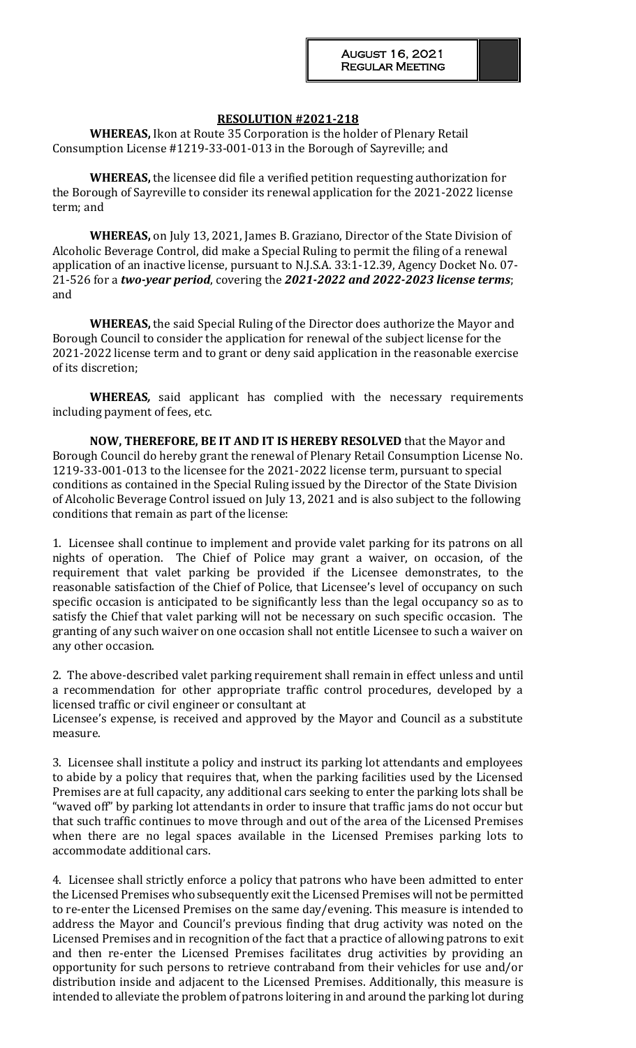#### **RESOLUTION #2021-218**

**WHEREAS,** Ikon at Route 35 Corporation is the holder of Plenary Retail Consumption License #1219-33-001-013 in the Borough of Sayreville; and

**WHEREAS,** the licensee did file a verified petition requesting authorization for the Borough of Sayreville to consider its renewal application for the 2021-2022 license term; and

**WHEREAS,** on July 13, 2021, James B. Graziano, Director of the State Division of Alcoholic Beverage Control, did make a Special Ruling to permit the filing of a renewal application of an inactive license, pursuant to N.J.S.A. 33:1-12.39, Agency Docket No. 07- 21-526 for a *two-year period*, covering the *2021-2022 and 2022-2023 license terms*; and

**WHEREAS,** the said Special Ruling of the Director does authorize the Mayor and Borough Council to consider the application for renewal of the subject license for the 2021-2022 license term and to grant or deny said application in the reasonable exercise of its discretion;

**WHEREAS***,* said applicant has complied with the necessary requirements including payment of fees, etc.

**NOW, THEREFORE, BE IT AND IT IS HEREBY RESOLVED** that the Mayor and Borough Council do hereby grant the renewal of Plenary Retail Consumption License No. 1219-33-001-013 to the licensee for the 2021-2022 license term, pursuant to special conditions as contained in the Special Ruling issued by the Director of the State Division of Alcoholic Beverage Control issued on July 13, 2021 and is also subject to the following conditions that remain as part of the license:

1. Licensee shall continue to implement and provide valet parking for its patrons on all nights of operation. The Chief of Police may grant a waiver, on occasion, of the requirement that valet parking be provided if the Licensee demonstrates, to the reasonable satisfaction of the Chief of Police, that Licensee's level of occupancy on such specific occasion is anticipated to be significantly less than the legal occupancy so as to satisfy the Chief that valet parking will not be necessary on such specific occasion. The granting of any such waiver on one occasion shall not entitle Licensee to such a waiver on any other occasion.

2. The above-described valet parking requirement shall remain in effect unless and until a recommendation for other appropriate traffic control procedures, developed by a licensed traffic or civil engineer or consultant at

Licensee's expense, is received and approved by the Mayor and Council as a substitute measure.

3. Licensee shall institute a policy and instruct its parking lot attendants and employees to abide by a policy that requires that, when the parking facilities used by the Licensed Premises are at full capacity, any additional cars seeking to enter the parking lots shall be "waved off" by parking lot attendants in order to insure that traffic jams do not occur but that such traffic continues to move through and out of the area of the Licensed Premises when there are no legal spaces available in the Licensed Premises parking lots to accommodate additional cars.

4. Licensee shall strictly enforce a policy that patrons who have been admitted to enter the Licensed Premises who subsequently exit the Licensed Premises will not be permitted to re-enter the Licensed Premises on the same day/evening. This measure is intended to address the Mayor and Council's previous finding that drug activity was noted on the Licensed Premises and in recognition of the fact that a practice of allowing patrons to exit and then re-enter the Licensed Premises facilitates drug activities by providing an opportunity for such persons to retrieve contraband from their vehicles for use and/or distribution inside and adjacent to the Licensed Premises. Additionally, this measure is intended to alleviate the problem of patrons loitering in and around the parking lot during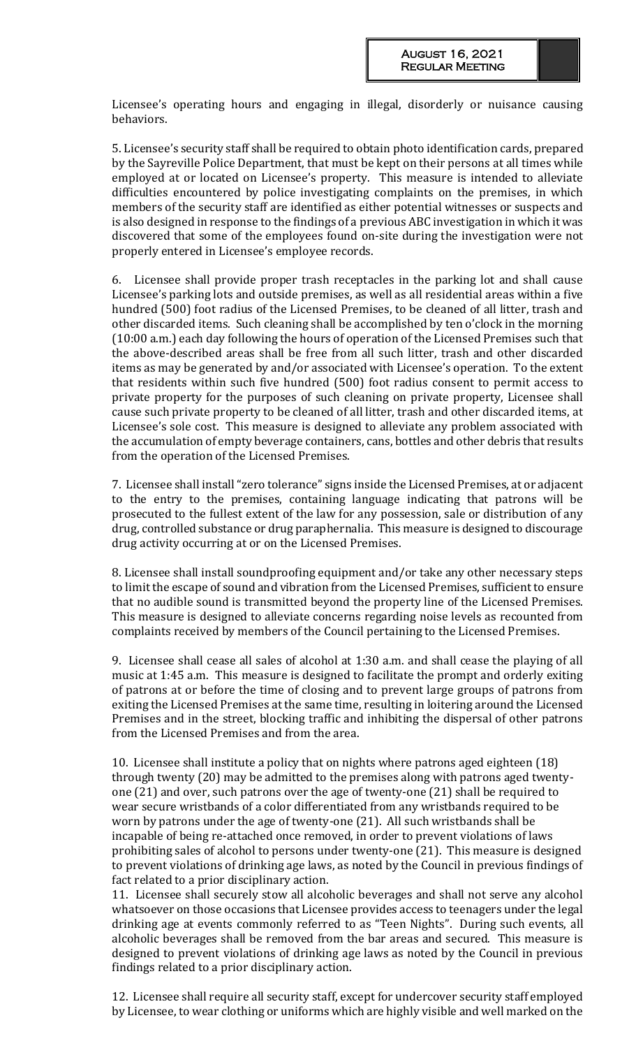Licensee's operating hours and engaging in illegal, disorderly or nuisance causing behaviors.

5. Licensee's security staff shall be required to obtain photo identification cards, prepared by the Sayreville Police Department, that must be kept on their persons at all times while employed at or located on Licensee's property. This measure is intended to alleviate difficulties encountered by police investigating complaints on the premises, in which members of the security staff are identified as either potential witnesses or suspects and is also designed in response to the findings of a previous ABC investigation in which it was discovered that some of the employees found on-site during the investigation were not properly entered in Licensee's employee records.

6. Licensee shall provide proper trash receptacles in the parking lot and shall cause Licensee's parking lots and outside premises, as well as all residential areas within a five hundred (500) foot radius of the Licensed Premises, to be cleaned of all litter, trash and other discarded items. Such cleaning shall be accomplished by ten o'clock in the morning (10:00 a.m.) each day following the hours of operation of the Licensed Premises such that the above-described areas shall be free from all such litter, trash and other discarded items as may be generated by and/or associated with Licensee's operation. To the extent that residents within such five hundred (500) foot radius consent to permit access to private property for the purposes of such cleaning on private property, Licensee shall cause such private property to be cleaned of all litter, trash and other discarded items, at Licensee's sole cost. This measure is designed to alleviate any problem associated with the accumulation of empty beverage containers, cans, bottles and other debris that results from the operation of the Licensed Premises.

7. Licensee shall install "zero tolerance" signs inside the Licensed Premises, at or adjacent to the entry to the premises, containing language indicating that patrons will be prosecuted to the fullest extent of the law for any possession, sale or distribution of any drug, controlled substance or drug paraphernalia. This measure is designed to discourage drug activity occurring at or on the Licensed Premises.

8. Licensee shall install soundproofing equipment and/or take any other necessary steps to limit the escape of sound and vibration from the Licensed Premises, sufficient to ensure that no audible sound is transmitted beyond the property line of the Licensed Premises. This measure is designed to alleviate concerns regarding noise levels as recounted from complaints received by members of the Council pertaining to the Licensed Premises.

9. Licensee shall cease all sales of alcohol at 1:30 a.m. and shall cease the playing of all music at 1:45 a.m. This measure is designed to facilitate the prompt and orderly exiting of patrons at or before the time of closing and to prevent large groups of patrons from exiting the Licensed Premises at the same time, resulting in loitering around the Licensed Premises and in the street, blocking traffic and inhibiting the dispersal of other patrons from the Licensed Premises and from the area.

10. Licensee shall institute a policy that on nights where patrons aged eighteen (18) through twenty (20) may be admitted to the premises along with patrons aged twentyone (21) and over, such patrons over the age of twenty-one (21) shall be required to wear secure wristbands of a color differentiated from any wristbands required to be worn by patrons under the age of twenty-one (21). All such wristbands shall be incapable of being re-attached once removed, in order to prevent violations of laws prohibiting sales of alcohol to persons under twenty-one (21). This measure is designed to prevent violations of drinking age laws, as noted by the Council in previous findings of fact related to a prior disciplinary action.

11. Licensee shall securely stow all alcoholic beverages and shall not serve any alcohol whatsoever on those occasions that Licensee provides access to teenagers under the legal drinking age at events commonly referred to as "Teen Nights". During such events, all alcoholic beverages shall be removed from the bar areas and secured. This measure is designed to prevent violations of drinking age laws as noted by the Council in previous findings related to a prior disciplinary action.

12. Licensee shall require all security staff, except for undercover security staff employed by Licensee, to wear clothing or uniforms which are highly visible and well marked on the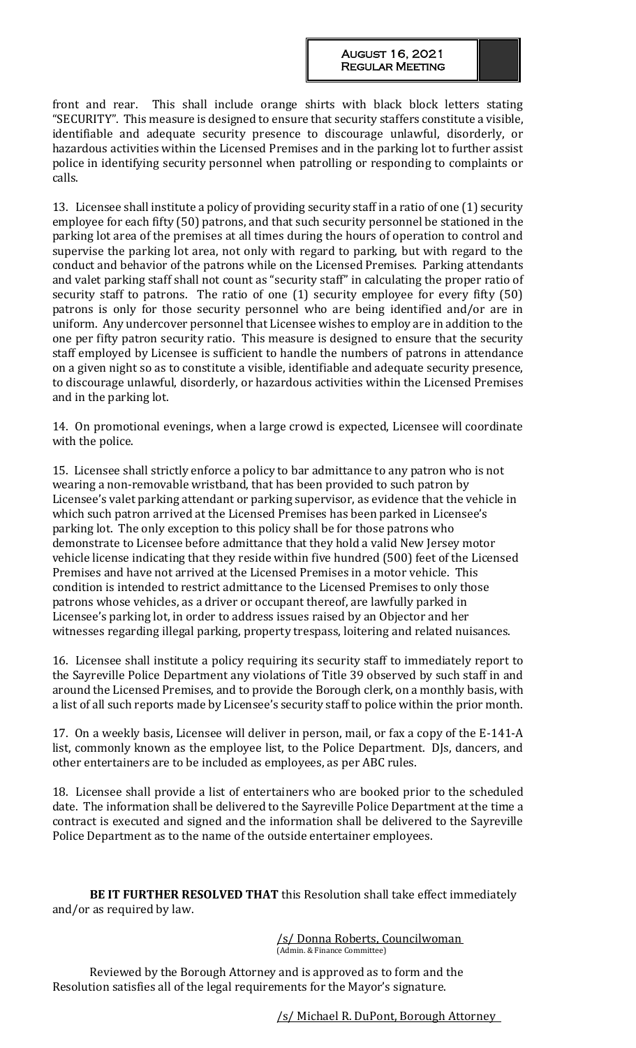front and rear. This shall include orange shirts with black block letters stating "SECURITY". This measure is designed to ensure that security staffers constitute a visible, identifiable and adequate security presence to discourage unlawful, disorderly, or hazardous activities within the Licensed Premises and in the parking lot to further assist police in identifying security personnel when patrolling or responding to complaints or calls.

13. Licensee shall institute a policy of providing security staff in a ratio of one (1) security employee for each fifty (50) patrons, and that such security personnel be stationed in the parking lot area of the premises at all times during the hours of operation to control and supervise the parking lot area, not only with regard to parking, but with regard to the conduct and behavior of the patrons while on the Licensed Premises. Parking attendants and valet parking staff shall not count as "security staff" in calculating the proper ratio of security staff to patrons. The ratio of one (1) security employee for every fifty (50) patrons is only for those security personnel who are being identified and/or are in uniform. Any undercover personnel that Licensee wishes to employ are in addition to the one per fifty patron security ratio. This measure is designed to ensure that the security staff employed by Licensee is sufficient to handle the numbers of patrons in attendance on a given night so as to constitute a visible, identifiable and adequate security presence, to discourage unlawful, disorderly, or hazardous activities within the Licensed Premises and in the parking lot.

14. On promotional evenings, when a large crowd is expected, Licensee will coordinate with the police.

15. Licensee shall strictly enforce a policy to bar admittance to any patron who is not wearing a non-removable wristband, that has been provided to such patron by Licensee's valet parking attendant or parking supervisor, as evidence that the vehicle in which such patron arrived at the Licensed Premises has been parked in Licensee's parking lot. The only exception to this policy shall be for those patrons who demonstrate to Licensee before admittance that they hold a valid New Jersey motor vehicle license indicating that they reside within five hundred (500) feet of the Licensed Premises and have not arrived at the Licensed Premises in a motor vehicle. This condition is intended to restrict admittance to the Licensed Premises to only those patrons whose vehicles, as a driver or occupant thereof, are lawfully parked in Licensee's parking lot, in order to address issues raised by an Objector and her witnesses regarding illegal parking, property trespass, loitering and related nuisances.

16. Licensee shall institute a policy requiring its security staff to immediately report to the Sayreville Police Department any violations of Title 39 observed by such staff in and around the Licensed Premises, and to provide the Borough clerk, on a monthly basis, with a list of all such reports made by Licensee's security staff to police within the prior month.

17. On a weekly basis, Licensee will deliver in person, mail, or fax a copy of the E-141-A list, commonly known as the employee list, to the Police Department. DJs, dancers, and other entertainers are to be included as employees, as per ABC rules.

18. Licensee shall provide a list of entertainers who are booked prior to the scheduled date. The information shall be delivered to the Sayreville Police Department at the time a contract is executed and signed and the information shall be delivered to the Sayreville Police Department as to the name of the outside entertainer employees.

**BE IT FURTHER RESOLVED THAT** this Resolution shall take effect immediately and/or as required by law.

> /s/ Donna Roberts, Councilwoman (Admin. & Finance Committee)

Reviewed by the Borough Attorney and is approved as to form and the Resolution satisfies all of the legal requirements for the Mayor's signature.

/s/ Michael R. DuPont, Borough Attorney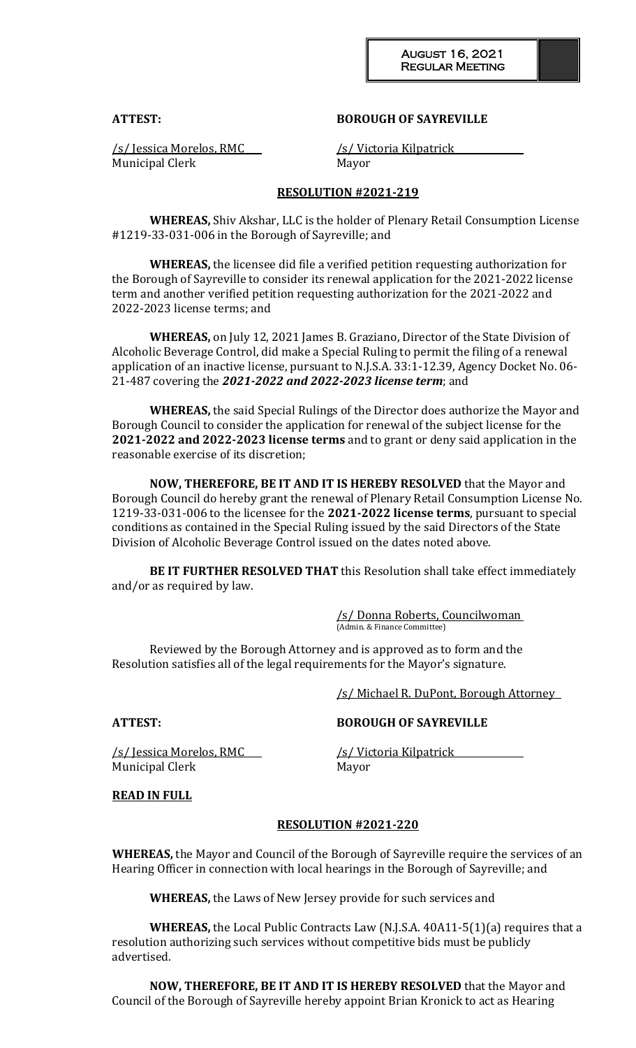#### **ATTEST: BOROUGH OF SAYREVILLE**

Municipal Clerk Mayor

/s/ Jessica Morelos, RMC /s/ Victoria Kilpatrick

#### **RESOLUTION #2021-219**

**WHEREAS,** Shiv Akshar, LLC is the holder of Plenary Retail Consumption License #1219-33-031-006 in the Borough of Sayreville; and

**WHEREAS,** the licensee did file a verified petition requesting authorization for the Borough of Sayreville to consider its renewal application for the 2021-2022 license term and another verified petition requesting authorization for the 2021-2022 and 2022-2023 license terms; and

**WHEREAS,** on July 12, 2021 James B. Graziano, Director of the State Division of Alcoholic Beverage Control, did make a Special Ruling to permit the filing of a renewal application of an inactive license, pursuant to N.J.S.A. 33:1-12.39, Agency Docket No. 06- 21-487 covering the *2021-2022 and 2022-2023 license term*; and

**WHEREAS,** the said Special Rulings of the Director does authorize the Mayor and Borough Council to consider the application for renewal of the subject license for the **2021-2022 and 2022-2023 license terms** and to grant or deny said application in the reasonable exercise of its discretion;

**NOW, THEREFORE, BE IT AND IT IS HEREBY RESOLVED** that the Mayor and Borough Council do hereby grant the renewal of Plenary Retail Consumption License No. 1219-33-031-006 to the licensee for the **2021-2022 license terms**, pursuant to special conditions as contained in the Special Ruling issued by the said Directors of the State Division of Alcoholic Beverage Control issued on the dates noted above.

**BE IT FURTHER RESOLVED THAT** this Resolution shall take effect immediately and/or as required by law.

> /s/ Donna Roberts, Councilwoman (Admin. & Finance Committee)

Reviewed by the Borough Attorney and is approved as to form and the Resolution satisfies all of the legal requirements for the Mayor's signature.

/s/ Michael R. DuPont, Borough Attorney

### **ATTEST: BOROUGH OF SAYREVILLE**

/s/ Jessica Morelos, RMC /s/ Victoria Kilpatrick Municipal Clerk Mayor

### **READ IN FULL**

#### **RESOLUTION #2021-220**

**WHEREAS,** the Mayor and Council of the Borough of Sayreville require the services of an Hearing Officer in connection with local hearings in the Borough of Sayreville; and

**WHEREAS,** the Laws of New Jersey provide for such services and

**WHEREAS,** the Local Public Contracts Law (N.J.S.A. 40A11-5(1)(a) requires that a resolution authorizing such services without competitive bids must be publicly advertised.

**NOW, THEREFORE, BE IT AND IT IS HEREBY RESOLVED** that the Mayor and Council of the Borough of Sayreville hereby appoint Brian Kronick to act as Hearing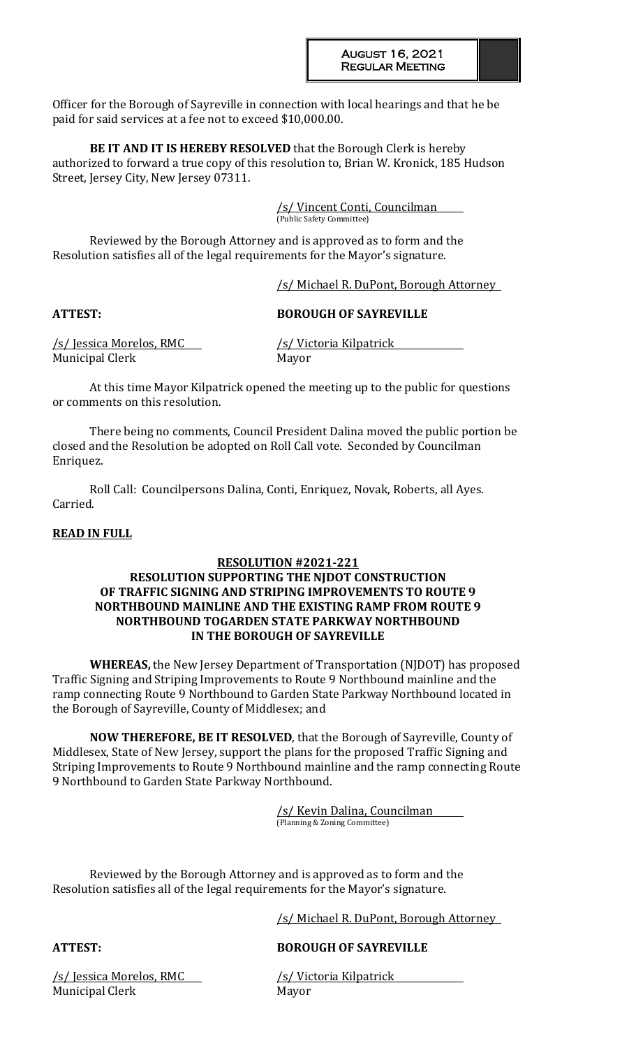Officer for the Borough of Sayreville in connection with local hearings and that he be paid for said services at a fee not to exceed \$10,000.00.

**BE IT AND IT IS HEREBY RESOLVED** that the Borough Clerk is hereby authorized to forward a true copy of this resolution to, Brian W. Kronick, 185 Hudson Street, Jersey City, New Jersey 07311.

> /s/ Vincent Conti, Councilman (Public Safety Committee)

Reviewed by the Borough Attorney and is approved as to form and the Resolution satisfies all of the legal requirements for the Mayor's signature.

/s/ Michael R. DuPont, Borough Attorney

## **ATTEST: BOROUGH OF SAYREVILLE**

/s/ Jessica Morelos, RMC /s/ Victoria Kilpatrick Municipal Clerk Mayor

At this time Mayor Kilpatrick opened the meeting up to the public for questions or comments on this resolution.

There being no comments, Council President Dalina moved the public portion be closed and the Resolution be adopted on Roll Call vote. Seconded by Councilman Enriquez.

Roll Call: Councilpersons Dalina, Conti, Enriquez, Novak, Roberts, all Ayes. Carried.

## **READ IN FULL**

## **RESOLUTION #2021-221**

### **RESOLUTION SUPPORTING THE NJDOT CONSTRUCTION OF TRAFFIC SIGNING AND STRIPING IMPROVEMENTS TO ROUTE 9 NORTHBOUND MAINLINE AND THE EXISTING RAMP FROM ROUTE 9 NORTHBOUND TOGARDEN STATE PARKWAY NORTHBOUND IN THE BOROUGH OF SAYREVILLE**

**WHEREAS,** the New Jersey Department of Transportation (NJDOT) has proposed Traffic Signing and Striping Improvements to Route 9 Northbound mainline and the ramp connecting Route 9 Northbound to Garden State Parkway Northbound located in the Borough of Sayreville, County of Middlesex; and

**NOW THEREFORE, BE IT RESOLVED**, that the Borough of Sayreville, County of Middlesex, State of New Jersey, support the plans for the proposed Traffic Signing and Striping Improvements to Route 9 Northbound mainline and the ramp connecting Route 9 Northbound to Garden State Parkway Northbound.

> /s/ Kevin Dalina, Councilman (Planning & Zoning Committee)

Reviewed by the Borough Attorney and is approved as to form and the Resolution satisfies all of the legal requirements for the Mayor's signature.

/s/ Michael R. DuPont, Borough Attorney

# **ATTEST: BOROUGH OF SAYREVILLE**

/s/ Jessica Morelos, RMC /s/ Victoria Kilpatrick Municipal Clerk Mayor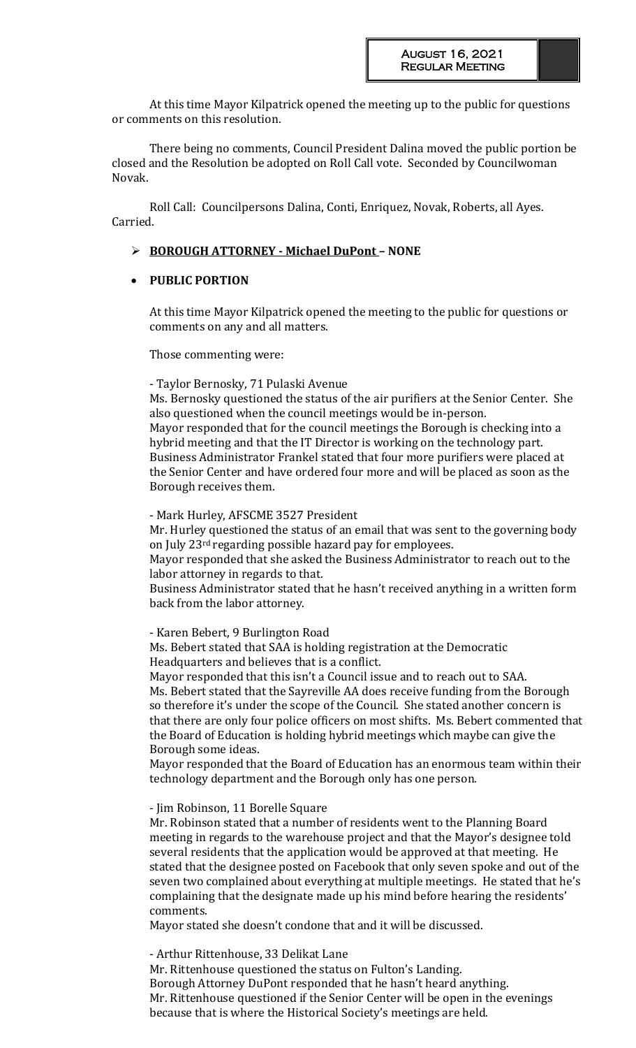At this time Mayor Kilpatrick opened the meeting up to the public for questions or comments on this resolution.

There being no comments, Council President Dalina moved the public portion be closed and the Resolution be adopted on Roll Call vote. Seconded by Councilwoman Novak.

Roll Call: Councilpersons Dalina, Conti, Enriquez, Novak, Roberts, all Ayes. Carried.

## **BOROUGH ATTORNEY - Michael DuPont – NONE**

## **PUBLIC PORTION**

At this time Mayor Kilpatrick opened the meeting to the public for questions or comments on any and all matters.

Those commenting were:

### - Taylor Bernosky, 71 Pulaski Avenue

Ms. Bernosky questioned the status of the air purifiers at the Senior Center. She also questioned when the council meetings would be in-person. Mayor responded that for the council meetings the Borough is checking into a

hybrid meeting and that the IT Director is working on the technology part. Business Administrator Frankel stated that four more purifiers were placed at the Senior Center and have ordered four more and will be placed as soon as the Borough receives them.

### - Mark Hurley, AFSCME 3527 President

Mr. Hurley questioned the status of an email that was sent to the governing body on July 23rd regarding possible hazard pay for employees.

Mayor responded that she asked the Business Administrator to reach out to the labor attorney in regards to that.

Business Administrator stated that he hasn't received anything in a written form back from the labor attorney.

- Karen Bebert, 9 Burlington Road

Ms. Bebert stated that SAA is holding registration at the Democratic Headquarters and believes that is a conflict.

Mayor responded that this isn't a Council issue and to reach out to SAA. Ms. Bebert stated that the Sayreville AA does receive funding from the Borough so therefore it's under the scope of the Council. She stated another concern is that there are only four police officers on most shifts. Ms. Bebert commented that the Board of Education is holding hybrid meetings which maybe can give the Borough some ideas.

Mayor responded that the Board of Education has an enormous team within their technology department and the Borough only has one person.

- Jim Robinson, 11 Borelle Square

Mr. Robinson stated that a number of residents went to the Planning Board meeting in regards to the warehouse project and that the Mayor's designee told several residents that the application would be approved at that meeting. He stated that the designee posted on Facebook that only seven spoke and out of the seven two complained about everything at multiple meetings. He stated that he's complaining that the designate made up his mind before hearing the residents' comments.

Mayor stated she doesn't condone that and it will be discussed.

- Arthur Rittenhouse, 33 Delikat Lane

Mr. Rittenhouse questioned the status on Fulton's Landing. Borough Attorney DuPont responded that he hasn't heard anything. Mr. Rittenhouse questioned if the Senior Center will be open in the evenings because that is where the Historical Society's meetings are held.